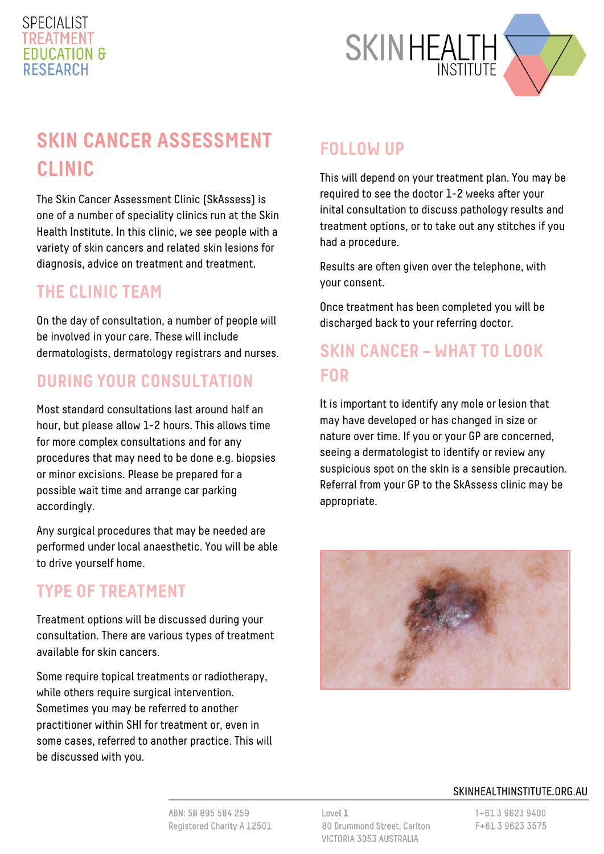#### **SPECIALIST** TREATMENT **FDUCATION & RESEARCH**



# **SKIN CANCER ASSESSMENT CLINIC**

The Skin Cancer Assessment Clinic (SkAssess) is one of a number of speciality clinics run at the Skin Health Institute. In this clinic, we see people with a variety of skin cancers and related skin lesions for diagnosis, advice on treatment and treatment.

#### **THE CLINIC TEAM**

On the day of consultation, a number of people will be involved in your care. These will include dermatologists, dermatology registrars and nurses.

#### **DURING YOUR CONSULTATION**

Most standard consultations last around half an hour, but please allow 1-2 hours. This allows time for more complex consultations and for any procedures that may need to be done e.g. biopsies or minor excisions. Please be prepared for a possible wait time and arrange car parking accordingly.

Any surgical procedures that may be needed are performed under local anaesthetic. You will be able to drive yourself home.

### **TYPE OF TREATMENT**

Treatment options will be discussed during your consultation. There are various types of treatment available for skin cancers.

Some require topical treatments or radiotherapy, while others require surgical intervention. Sometimes you may be referred to another practitioner within SHI for treatment or, even in some cases, referred to another practice. This will be discussed with you.

# **FOLLOW UP**

This will depend on your treatment plan. You may be required to see the doctor 1-2 weeks after your inital consultation to discuss pathology results and treatment options, or to take out any stitches if you had a procedure.

Results are often given over the telephone, with your consent.

Once treatment has been completed you will be discharged back to your referring doctor.

### **SKIN CANCER – WHAT TO LOOK FOR**

It is important to identify any mole or lesion that may have developed or has changed in size or nature over time. If you or your GP are concerned, seeing a dermatologist to identify or review any suspicious spot on the skin is a sensible precaution. Referral from your GP to the SkAssess clinic may be appropriate.



#### SKINHEALTHINSTITUTE.ORG.AU

ABN: 58 895 584 259 Registered Charity A 12501 Level 1 80 Drummond Street, Carlton VICTORIA 3053 AUSTRALIA

T+61 3 9623 9400 F+61 3 9623 3575